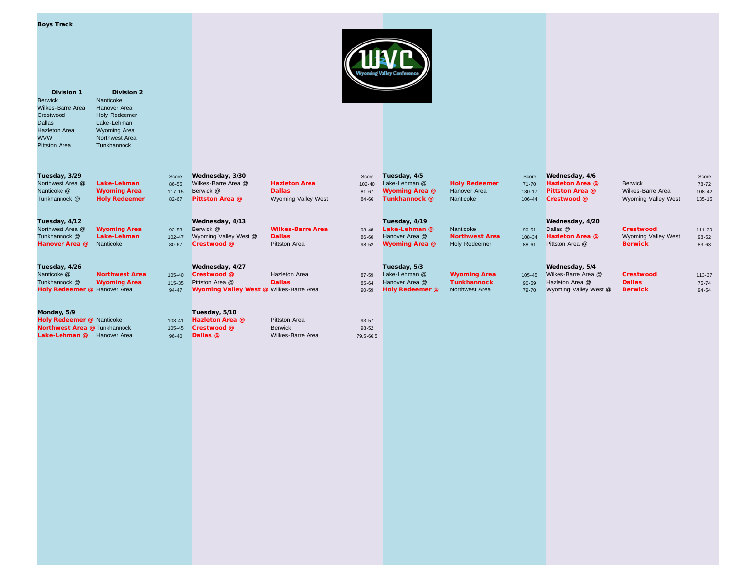| <b>Boys Track</b> |  |
|-------------------|--|
|                   |  |